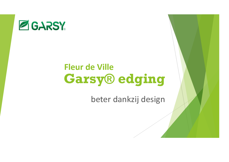

beter dankzij design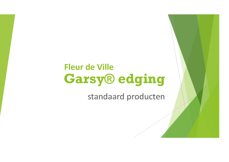standaard producten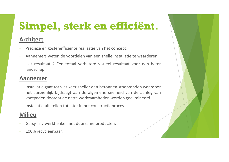# Simpel, sterk en efficiënt.

## **Architect**

- 'Precieze en kostenefficiënte realisatie van het concept.
- 'Aannemers weten de voordelen van een snelle installatie te waarderen.
- 'Het resultaat ? Fen totaal verbeterd visueel resultaat voor een beter landschap.

### Aannemer

- 'Installatie gaat tot vier keer sneller dan betonnen stoepranden waardoor het aanzienlijk bijdraagt aan de algemene snelheid van de aanleg van voetpaden doordat de natte werkzaamheden worden geëlimineerd.
- $\bullet$ Installatie uitstellen tot later in het constructieproces.

## **Milieu**

- 'Garsy® nv werkt enkel met duurzame producten.
- 100% recycleerbaar.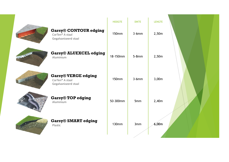|                                                                                     | <b>HOOGTE</b> | <b>DIKTE</b>    | <b>LENGTE</b> |  |
|-------------------------------------------------------------------------------------|---------------|-----------------|---------------|--|
| <b>Garsy® CONTOUR edging</b><br>CorTen <sup>®</sup> A staal<br>Gegalvaniseerd staal | <b>150mm</b>  | $3-6mm$         | 2,50m         |  |
| <b>Garsy® ALUEXCEL edging</b><br>Aluminium                                          | 18-150mm      | $5-8mm$         | 2,50m         |  |
| <b>Garsy® VERGE edging</b><br>CorTen <sup>®</sup> A staal<br>Gegalvaniseerd staal   | <b>150mm</b>  | $3-6mm$         | 3,00m         |  |
| <b>Garsy® TOP edging</b><br>Aluminium                                               | 50-300mm      | 5 <sub>mm</sub> | 2,40m         |  |
| <b>Garsy® SMART edging</b><br>Plastic                                               | 130mm         | 3mm             | 6,00m         |  |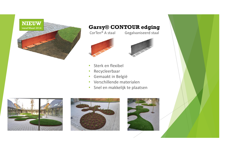

**Garsy® CONTOUR edging** 

CorTen<sup>®</sup> A staal Gegalvaniseerd staal





- $\bullet$ Sterk en flexibel
- $\bullet$  . Recycleerbaar
- · Gemaakt in België
- Verschillende materialen
- Snel en makkelijk te plaatsen







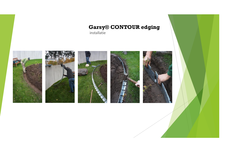# **Garsy® CONTOUR edging**<br>installatie

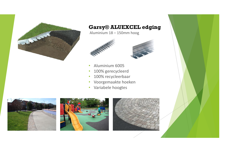

### ${\bf Garsy} \circledR {\bf ALLUEXCEL \operatorname{\bf edging}}$

Aluminium  $18 - 150$ mm hoog





- $\bullet$ Aluminium 6005
- · 100% gerecycleerd
- $\bullet$ 100% recycleerbaar
- $\bullet$ Voorgemaakte hoeken
- $\bullet$  . Variabele hoogtes







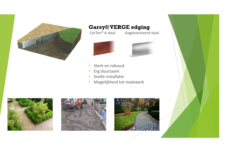

### **Garsy®VERGE edging** Gegalvaniseerd staal

CorTen<sup>®</sup> A staal





- Sterk en robuust  $\bullet$
- Erg duurzaam
- · Snelle installatie
- Mogelijkheid tot maatwerk







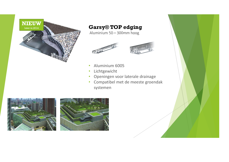

**Garsy® TOP edging** 

Aluminium 50 - 300mm hoog



- Aluminium 6005  $\bullet$
- Lichtgewicht  $\bullet$  .
- Openingen voor laterale drainage
- Compatibel met de meeste groendak systemen



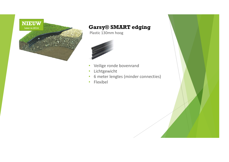

### **Garsy® SMART edging**

Plastic 130mm hoog



- Veilige ronde bovenrand  $\bullet$
- Lichtgewicht  $\bullet$  .
- 6 meter lengtes (minder connecties)
- Flexibel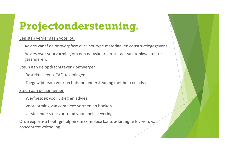# Projectondersteuning.

#### Een stap verder gaan voor jou

- 'Advies vanaf de ontwerpfase over het type materiaal en constructiegegevens.
- 'Advies over voorvorming om een nauwkeurig resultaat van topkwaliteit te garanderen.

#### Steun aan de opdrachtgever / ontwerper

- 'Bestekteksten / CAD-tekeningen
- 'Toegewijd team voor technische ondersteuning met help en advies

#### Steun aan de aannemer

- Werfbezoek voor uitleg en advies
- 'Voorvorming van complexe vormen en hoeken
- 'Uitstekende stockvoorraad voor snelle levering

Onze expertise heeft geholpen om complexe kantopsluiting te leveren, van concept tot voltooiing.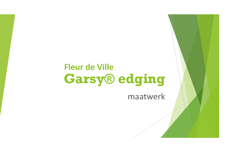## maatwerk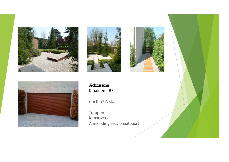







**Adriaens** Kraainem, BE

CorTen<sup>®</sup> A staal

Trappen Kunstwerk Aankleding sectionaalpoort

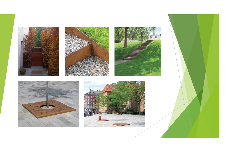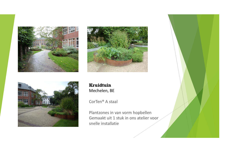





Kruidtuin Mechelen, BE

CorTen<sup>®</sup> A staal

Plantzones in van vorm hopbellen Gemaakt uit 1 stuk in ons atelier voor snelle installatie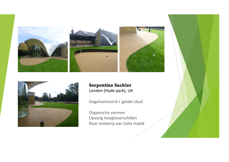



### **Serpentine Sackler** Londen (Hyde park), UK

Gegalvaniseerd + gelakt staal

Organische vormen Opvang hoogteverschillen Naar ontwerp van Zaha Hadid

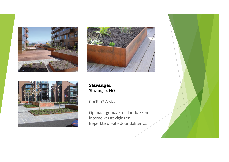





**Stavanger** Stavanger, NO

CorTen<sup>®</sup> A staal

Op maat gemaakte plantbakken Interne verstevigingen Beperkte diepte door dakterras

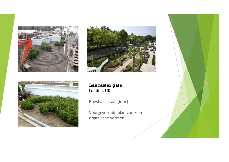





### Lancaster gate Londen, UK

Roestvast staal (inox)

Voorgevormde plantzones in organische vormen